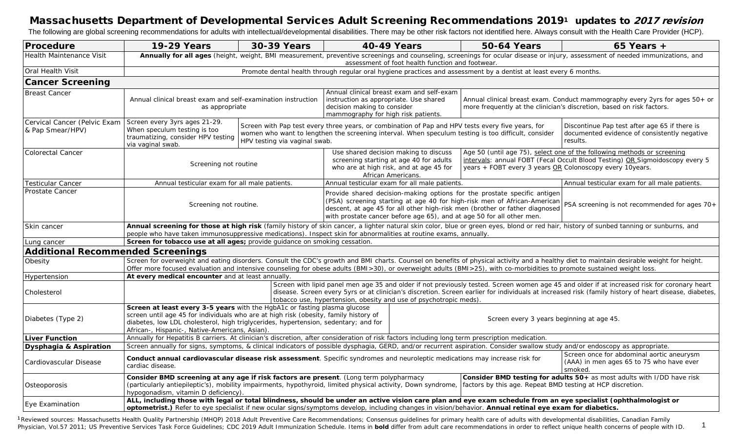## Massachusetts Department of Developmental Services Adult Screening Recommendations 20191 updates to 2017 revision

The following are global screening recommendations for adults with intellectual/developmental disabilities. There may be other risk factors not identified here. Always consult with the Health Care Provider (HCP).

| Procedure                                                                        | <b>19-29 Years</b>                                                                                                                                                                                                                                                                                                                                                        | <b>30-39 Years</b>            | <b>40-49 Years</b>                                                                                                                                                                                                                                                                                                                                            | <b>50-64 Years</b>                                                                                                                                                                                                  | $65$ Years +                                  |  |  |  |
|----------------------------------------------------------------------------------|---------------------------------------------------------------------------------------------------------------------------------------------------------------------------------------------------------------------------------------------------------------------------------------------------------------------------------------------------------------------------|-------------------------------|---------------------------------------------------------------------------------------------------------------------------------------------------------------------------------------------------------------------------------------------------------------------------------------------------------------------------------------------------------------|---------------------------------------------------------------------------------------------------------------------------------------------------------------------------------------------------------------------|-----------------------------------------------|--|--|--|
| <b>Health Maintenance Visit</b>                                                  | Annually for all ages (height, weight, BMI measurement, preventive screenings and counseling, screenings for ocular disease or injury, assessment of needed immunizations, and<br>assessment of foot health function and footwear.                                                                                                                                        |                               |                                                                                                                                                                                                                                                                                                                                                               |                                                                                                                                                                                                                     |                                               |  |  |  |
| Oral Health Visit                                                                | Promote dental health through regular oral hygiene practices and assessment by a dentist at least every 6 months.                                                                                                                                                                                                                                                         |                               |                                                                                                                                                                                                                                                                                                                                                               |                                                                                                                                                                                                                     |                                               |  |  |  |
| <b>Cancer Screening</b>                                                          |                                                                                                                                                                                                                                                                                                                                                                           |                               |                                                                                                                                                                                                                                                                                                                                                               |                                                                                                                                                                                                                     |                                               |  |  |  |
| <b>Breast Cancer</b>                                                             | Annual clinical breast exam and self-examination instruction<br>as appropriate                                                                                                                                                                                                                                                                                            |                               | Annual clinical breast exam and self-exam<br>instruction as appropriate. Use shared<br>decision making to consider<br>mammography for high risk patients.                                                                                                                                                                                                     | Annual clinical breast exam. Conduct mammography every 2yrs for ages 50+ or<br>more frequently at the clinician's discretion, based on risk factors.                                                                |                                               |  |  |  |
| Cervical Cancer (Pelvic Exam   Screen every 3yrs ages 21-29.<br>& Pap Smear/HPV) | When speculum testing is too<br>traumatizing, consider HPV testing<br>via vaginal swab.                                                                                                                                                                                                                                                                                   | HPV testing via vaginal swab. | Screen with Pap test every three years, or combination of Pap and HPV tests every five years, for<br>women who want to lengthen the screening interval. When speculum testing is too difficult, consider                                                                                                                                                      | Discontinue Pap test after age 65 if there is<br>documented evidence of consistently negative<br>results.                                                                                                           |                                               |  |  |  |
| <b>Colorectal Cancer</b>                                                         | Screening not routine                                                                                                                                                                                                                                                                                                                                                     |                               | Use shared decision making to discuss<br>screening starting at age 40 for adults<br>who are at high risk, and at age 45 for<br>African Americans.                                                                                                                                                                                                             | Age 50 (until age 75), select one of the following methods or screening<br>intervals: annual FOBT (Fecal Occult Blood Testing) OR Sigmoidoscopy every 5<br>years + FOBT every 3 years OR Colonoscopy every 10years. |                                               |  |  |  |
| <b>Testicular Cancer</b>                                                         | Annual testicular exam for all male patients.                                                                                                                                                                                                                                                                                                                             |                               | Annual testicular exam for all male patients.                                                                                                                                                                                                                                                                                                                 |                                                                                                                                                                                                                     | Annual testicular exam for all male patients. |  |  |  |
| Prostate Cancer                                                                  | Screening not routine.                                                                                                                                                                                                                                                                                                                                                    |                               | Provide shared decision-making options for the prostate specific antigen<br>(PSA) screening starting at age 40 for high-risk men of African-American<br>PSA screening is not recommended for ages 70+<br>descent, at age 45 for all other high-risk men (brother or father diagnosed<br>with prostate cancer before age 65), and at age 50 for all other men. |                                                                                                                                                                                                                     |                                               |  |  |  |
| Skin cancer                                                                      | Annual screening for those at high risk (family history of skin cancer, a lighter natural skin color, blue or green eyes, blond or red hair, history of sunbed tanning or sunburns, and<br>people who have taken immunosuppressive medications). Inspect skin for abnormalities at routine exams, annually.                                                               |                               |                                                                                                                                                                                                                                                                                                                                                               |                                                                                                                                                                                                                     |                                               |  |  |  |
| Lung cancer                                                                      | Screen for tobacco use at all ages; provide guidance on smoking cessation.                                                                                                                                                                                                                                                                                                |                               |                                                                                                                                                                                                                                                                                                                                                               |                                                                                                                                                                                                                     |                                               |  |  |  |
| <b>Additional Recommended Screenings</b>                                         |                                                                                                                                                                                                                                                                                                                                                                           |                               |                                                                                                                                                                                                                                                                                                                                                               |                                                                                                                                                                                                                     |                                               |  |  |  |
| Obesity                                                                          | Screen for overweight and eating disorders. Consult the CDC's growth and BMI charts. Counsel on benefits of physical activity and a healthy diet to maintain desirable weight for height.<br>Offer more focused evaluation and intensive counseling for obese adults (BMI>30), or overweight adults (BMI>25), with co-morbidities to promote sustained weight loss.       |                               |                                                                                                                                                                                                                                                                                                                                                               |                                                                                                                                                                                                                     |                                               |  |  |  |
| Hypertension                                                                     | At every medical encounter and at least annually.                                                                                                                                                                                                                                                                                                                         |                               |                                                                                                                                                                                                                                                                                                                                                               |                                                                                                                                                                                                                     |                                               |  |  |  |
| Cholesterol                                                                      | Screen with lipid panel men age 35 and older if not previously tested. Screen women age 45 and older if at increased risk for coronary heart<br>disease. Screen every 5yrs or at clinician's discretion. Screen earlier for individuals at increased risk (family history of heart disease, diabetes,<br>tobacco use, hypertension, obesity and use of psychotropic meds) |                               |                                                                                                                                                                                                                                                                                                                                                               |                                                                                                                                                                                                                     |                                               |  |  |  |
| Diabetes (Type 2)                                                                | Screen at least every 3-5 years with the HgbA1c or fasting plasma glucose<br>screen until age 45 for individuals who are at high risk (obesity, family history of<br>Screen every 3 years beginning at age 45.<br>diabetes, low LDL cholesterol, high triglycerides, hypertension, sedentary; and for<br>African-, Hispanic-, Native-Americans, Asian)                    |                               |                                                                                                                                                                                                                                                                                                                                                               |                                                                                                                                                                                                                     |                                               |  |  |  |
| <b>Liver Function</b>                                                            | Annually for Hepatitis B carriers. At clinician's discretion, after consideration of risk factors including long term prescription medication.                                                                                                                                                                                                                            |                               |                                                                                                                                                                                                                                                                                                                                                               |                                                                                                                                                                                                                     |                                               |  |  |  |
| Dysphagia & Aspiration                                                           | Screen annually for signs, symptoms, & clinical indicators of possible dysphagia, GERD, and/or recurrent aspiration. Consider swallow study and/or endoscopy as appropriate.                                                                                                                                                                                              |                               |                                                                                                                                                                                                                                                                                                                                                               |                                                                                                                                                                                                                     |                                               |  |  |  |
| Cardiovascular Disease                                                           | Screen once for abdominal aortic aneurysm<br>Conduct annual cardiovascular disease risk assessment. Specific syndromes and neuroleptic medications may increase risk for<br>(AAA) in men ages 65 to 75 who have ever<br>cardiac disease.<br>smoked.                                                                                                                       |                               |                                                                                                                                                                                                                                                                                                                                                               |                                                                                                                                                                                                                     |                                               |  |  |  |
| Osteoporosis                                                                     | Consider BMD screening at any age if risk factors are present. (Long term polypharmacy<br>(particularly antiepileptic's), mobility impairments, hypothyroid, limited physical activity, Down syndrome,<br>hypogonadism, vitamin D deficiency).                                                                                                                            |                               | Consider BMD testing for adults 50+ as most adults with I/DD have risk<br>factors by this age. Repeat BMD testing at HCP discretion.                                                                                                                                                                                                                          |                                                                                                                                                                                                                     |                                               |  |  |  |
| Eye Examination                                                                  | ALL, including those with legal or total blindness, should be under an active vision care plan and eye exam schedule from an eye specialist (ophthalmologist or<br>optometrist.) Refer to eye specialist if new ocular signs/symptoms develop, including changes in vision/behavior. Annual retinal eye exam for diabetics.                                               |                               |                                                                                                                                                                                                                                                                                                                                                               |                                                                                                                                                                                                                     |                                               |  |  |  |

Physician, Vol.57 2011; US Preventive Services Task Force Guidelines; CDC 2019 Adult Immunization Schedule. Items in bold differ from adult care recommendations in order to reflect unique health concerns of people with ID. <sup>1</sup>Reviewed sources: Massachusetts Health Quality Partnership (MHQP) 2018 Adult Preventive Care Recommendations; Consensus guidelines for primary health care of adults with developmental disabilities, Canadian Family